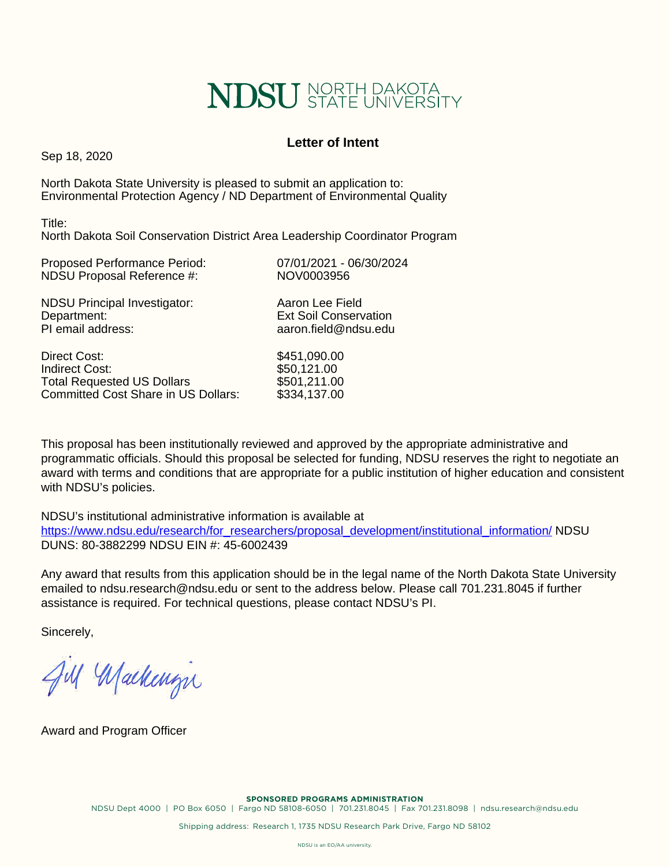# **NDSU** STATE UNIVERSITY

## **Letter of Intent**

Sep 18, 2020

North Dakota State University is pleased to submit an application to: Environmental Protection Agency / ND Department of Environmental Quality

Title: North Dakota Soil Conservation District Area Leadership Coordinator Program

| <b>Proposed Performance Period:</b> | 07/01/2021 - 06/30/2024      |
|-------------------------------------|------------------------------|
| NDSU Proposal Reference #:          | NOV0003956                   |
| <b>NDSU Principal Investigator:</b> | Aaron Lee Field              |
| Department:                         | <b>Ext Soil Conservation</b> |
| PI email address:                   | aaron.field@ndsu.edu         |

Direct Cost: \$451,090.00 Indirect Cost: \$50,121.00<br>Total Requested US Dollars \$501.211.00 **Total Requested US Dollars** Committed Cost Share in US Dollars: \$334,137.00

This proposal has been institutionally reviewed and approved by the appropriate administrative and programmatic officials. Should this proposal be selected for funding, NDSU reserves the right to negotiate an award with terms and conditions that are appropriate for a public institution of higher education and consistent with NDSU's policies.

NDSU's institutional administrative information is available at [https://www.ndsu.edu/research/for\\_researchers/proposal\\_development/institutional\\_information/](https://www.ndsu.edu/research/for_researchers/proposal_development/institutional_information/) NDSU DUNS: 80-3882299 NDSU EIN #: 45-6002439

Any award that results from this application should be in the legal name of the North Dakota State University emailed to ndsu.research@ndsu.edu or sent to the address below. Please call 701.231.8045 if further assistance is required. For technical questions, please contact NDSU's PI.

Sincerely,

Jul Machenin

Award and Program Officer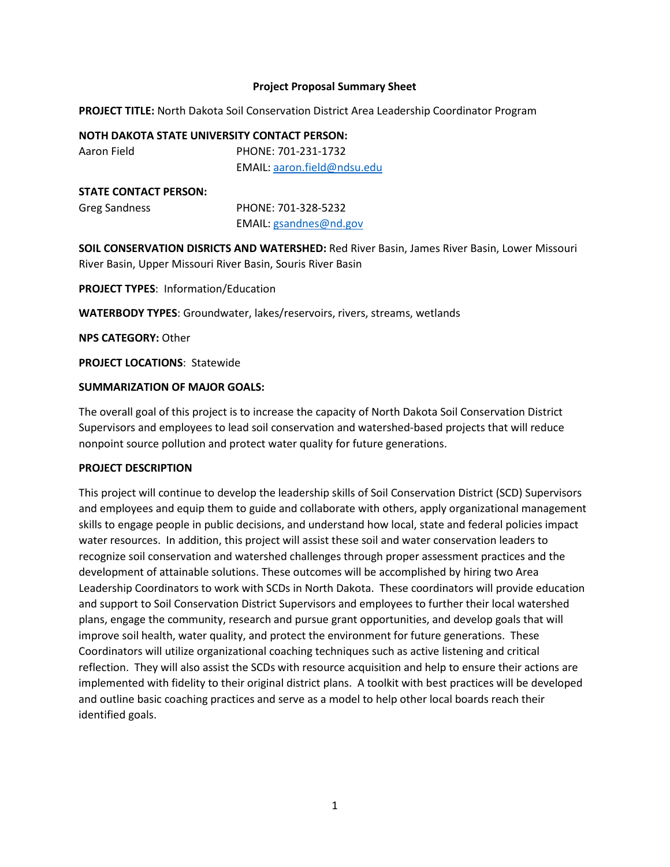### **Project Proposal Summary Sheet**

**PROJECT TITLE:** North Dakota Soil Conservation District Area Leadership Coordinator Program

#### **NOTH DAKOTA STATE UNIVERSITY CONTACT PERSON:**

Aaron Field PHONE: 701-231-1732 EMAIL: aaron.field@ndsu.edu

#### **STATE CONTACT PERSON:**

| Greg Sandness | PHONE: 701-328-5232    |  |  |  |
|---------------|------------------------|--|--|--|
|               | EMAIL: gsandnes@nd.gov |  |  |  |

**SOIL CONSERVATION DISRICTS AND WATERSHED:** Red River Basin, James River Basin, Lower Missouri River Basin, Upper Missouri River Basin, Souris River Basin

**PROJECT TYPES**: Information/Education

**WATERBODY TYPES**: Groundwater, lakes/reservoirs, rivers, streams, wetlands

**NPS CATEGORY:** Other

**PROJECT LOCATIONS**: Statewide

## **SUMMARIZATION OF MAJOR GOALS:**

The overall goal of this project is to increase the capacity of North Dakota Soil Conservation District Supervisors and employees to lead soil conservation and watershed-based projects that will reduce nonpoint source pollution and protect water quality for future generations.

#### **PROJECT DESCRIPTION**

This project will continue to develop the leadership skills of Soil Conservation District (SCD) Supervisors and employees and equip them to guide and collaborate with others, apply organizational management skills to engage people in public decisions, and understand how local, state and federal policies impact water resources. In addition, this project will assist these soil and water conservation leaders to recognize soil conservation and watershed challenges through proper assessment practices and the development of attainable solutions. These outcomes will be accomplished by hiring two Area Leadership Coordinators to work with SCDs in North Dakota. These coordinators will provide education and support to Soil Conservation District Supervisors and employees to further their local watershed plans, engage the community, research and pursue grant opportunities, and develop goals that will improve soil health, water quality, and protect the environment for future generations. These Coordinators will utilize organizational coaching techniques such as active listening and critical reflection. They will also assist the SCDs with resource acquisition and help to ensure their actions are implemented with fidelity to their original district plans. A toolkit with best practices will be developed and outline basic coaching practices and serve as a model to help other local boards reach their identified goals.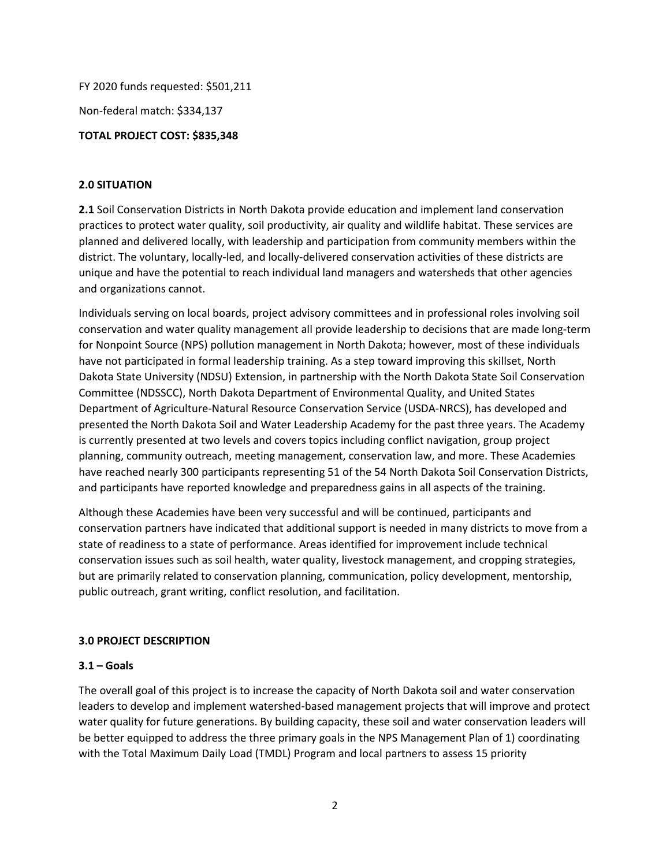FY 2020 funds requested: \$501,211

Non-federal match: \$334,137

## **TOTAL PROJECT COST: \$835,348**

## **2.0 SITUATION**

**2.1** Soil Conservation Districts in North Dakota provide education and implement land conservation practices to protect water quality, soil productivity, air quality and wildlife habitat. These services are planned and delivered locally, with leadership and participation from community members within the district. The voluntary, locally-led, and locally-delivered conservation activities of these districts are unique and have the potential to reach individual land managers and watersheds that other agencies and organizations cannot.

Individuals serving on local boards, project advisory committees and in professional roles involving soil conservation and water quality management all provide leadership to decisions that are made long-term for Nonpoint Source (NPS) pollution management in North Dakota; however, most of these individuals have not participated in formal leadership training. As a step toward improving this skillset, North Dakota State University (NDSU) Extension, in partnership with the North Dakota State Soil Conservation Committee (NDSSCC), North Dakota Department of Environmental Quality, and United States Department of Agriculture-Natural Resource Conservation Service (USDA-NRCS), has developed and presented the North Dakota Soil and Water Leadership Academy for the past three years. The Academy is currently presented at two levels and covers topics including conflict navigation, group project planning, community outreach, meeting management, conservation law, and more. These Academies have reached nearly 300 participants representing 51 of the 54 North Dakota Soil Conservation Districts, and participants have reported knowledge and preparedness gains in all aspects of the training.

Although these Academies have been very successful and will be continued, participants and conservation partners have indicated that additional support is needed in many districts to move from a state of readiness to a state of performance. Areas identified for improvement include technical conservation issues such as soil health, water quality, livestock management, and cropping strategies, but are primarily related to conservation planning, communication, policy development, mentorship, public outreach, grant writing, conflict resolution, and facilitation.

## **3.0 PROJECT DESCRIPTION**

## **3.1 – Goals**

The overall goal of this project is to increase the capacity of North Dakota soil and water conservation leaders to develop and implement watershed-based management projects that will improve and protect water quality for future generations. By building capacity, these soil and water conservation leaders will be better equipped to address the three primary goals in the NPS Management Plan of 1) coordinating with the Total Maximum Daily Load (TMDL) Program and local partners to assess 15 priority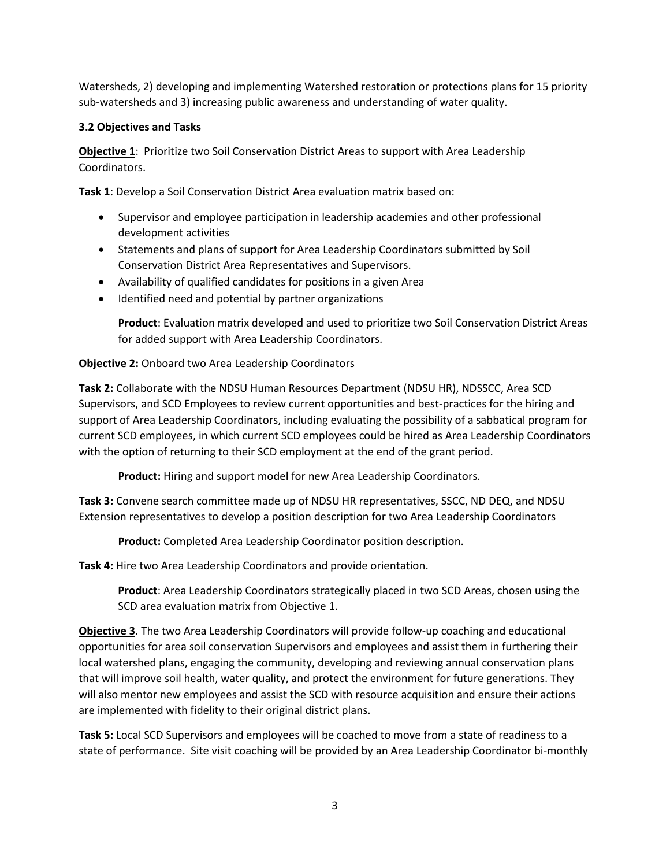Watersheds, 2) developing and implementing Watershed restoration or protections plans for 15 priority sub-watersheds and 3) increasing public awareness and understanding of water quality.

## **3.2 Objectives and Tasks**

**Objective 1**: Prioritize two Soil Conservation District Areas to support with Area Leadership Coordinators.

**Task 1**: Develop a Soil Conservation District Area evaluation matrix based on:

- Supervisor and employee participation in leadership academies and other professional development activities
- Statements and plans of support for Area Leadership Coordinators submitted by Soil Conservation District Area Representatives and Supervisors.
- Availability of qualified candidates for positions in a given Area
- Identified need and potential by partner organizations

**Product**: Evaluation matrix developed and used to prioritize two Soil Conservation District Areas for added support with Area Leadership Coordinators.

## **Objective 2:** Onboard two Area Leadership Coordinators

**Task 2:** Collaborate with the NDSU Human Resources Department (NDSU HR), NDSSCC, Area SCD Supervisors, and SCD Employees to review current opportunities and best-practices for the hiring and support of Area Leadership Coordinators, including evaluating the possibility of a sabbatical program for current SCD employees, in which current SCD employees could be hired as Area Leadership Coordinators with the option of returning to their SCD employment at the end of the grant period.

**Product:** Hiring and support model for new Area Leadership Coordinators.

**Task 3:** Convene search committee made up of NDSU HR representatives, SSCC, ND DEQ, and NDSU Extension representatives to develop a position description for two Area Leadership Coordinators

**Product:** Completed Area Leadership Coordinator position description.

**Task 4:** Hire two Area Leadership Coordinators and provide orientation.

**Product**: Area Leadership Coordinators strategically placed in two SCD Areas, chosen using the SCD area evaluation matrix from Objective 1.

**Objective 3**. The two Area Leadership Coordinators will provide follow-up coaching and educational opportunities for area soil conservation Supervisors and employees and assist them in furthering their local watershed plans, engaging the community, developing and reviewing annual conservation plans that will improve soil health, water quality, and protect the environment for future generations. They will also mentor new employees and assist the SCD with resource acquisition and ensure their actions are implemented with fidelity to their original district plans.

**Task 5:** Local SCD Supervisors and employees will be coached to move from a state of readiness to a state of performance. Site visit coaching will be provided by an Area Leadership Coordinator bi-monthly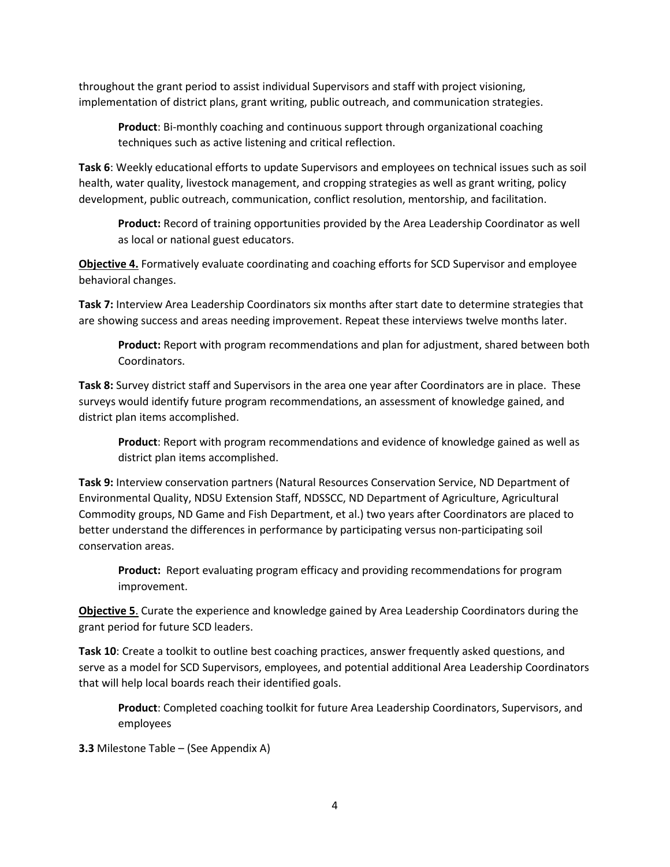throughout the grant period to assist individual Supervisors and staff with project visioning, implementation of district plans, grant writing, public outreach, and communication strategies.

**Product**: Bi-monthly coaching and continuous support through organizational coaching techniques such as active listening and critical reflection.

**Task 6**: Weekly educational efforts to update Supervisors and employees on technical issues such as soil health, water quality, livestock management, and cropping strategies as well as grant writing, policy development, public outreach, communication, conflict resolution, mentorship, and facilitation.

**Product:** Record of training opportunities provided by the Area Leadership Coordinator as well as local or national guest educators.

**Objective 4.** Formatively evaluate coordinating and coaching efforts for SCD Supervisor and employee behavioral changes.

**Task 7:** Interview Area Leadership Coordinators six months after start date to determine strategies that are showing success and areas needing improvement. Repeat these interviews twelve months later.

**Product:** Report with program recommendations and plan for adjustment, shared between both Coordinators.

**Task 8:** Survey district staff and Supervisors in the area one year after Coordinators are in place. These surveys would identify future program recommendations, an assessment of knowledge gained, and district plan items accomplished.

**Product**: Report with program recommendations and evidence of knowledge gained as well as district plan items accomplished.

**Task 9:** Interview conservation partners (Natural Resources Conservation Service, ND Department of Environmental Quality, NDSU Extension Staff, NDSSCC, ND Department of Agriculture, Agricultural Commodity groups, ND Game and Fish Department, et al.) two years after Coordinators are placed to better understand the differences in performance by participating versus non-participating soil conservation areas.

**Product:** Report evaluating program efficacy and providing recommendations for program improvement.

**Objective 5**. Curate the experience and knowledge gained by Area Leadership Coordinators during the grant period for future SCD leaders.

**Task 10**: Create a toolkit to outline best coaching practices, answer frequently asked questions, and serve as a model for SCD Supervisors, employees, and potential additional Area Leadership Coordinators that will help local boards reach their identified goals.

**Product**: Completed coaching toolkit for future Area Leadership Coordinators, Supervisors, and employees

**3.3** Milestone Table – (See Appendix A)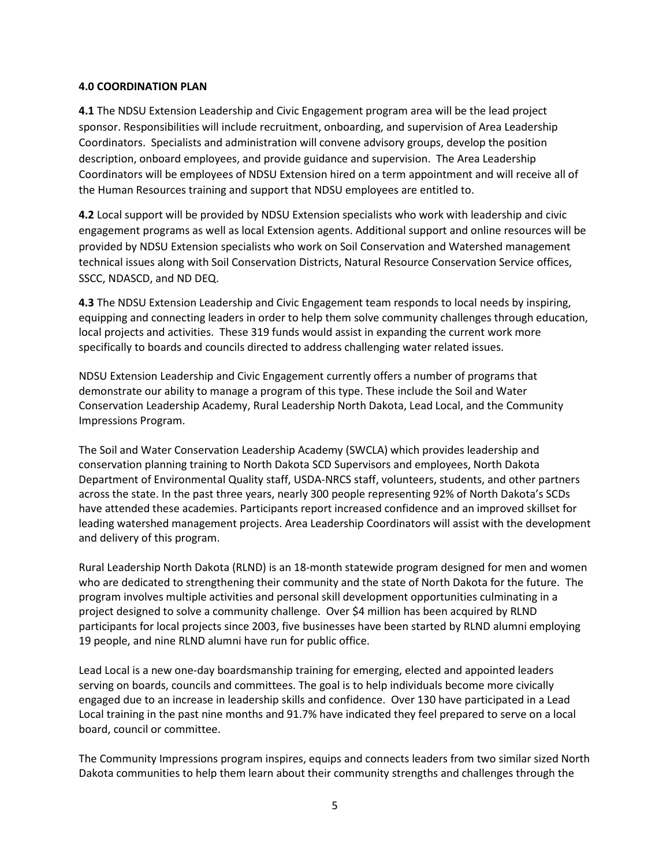## **4.0 COORDINATION PLAN**

**4.1** The NDSU Extension Leadership and Civic Engagement program area will be the lead project sponsor. Responsibilities will include recruitment, onboarding, and supervision of Area Leadership Coordinators. Specialists and administration will convene advisory groups, develop the position description, onboard employees, and provide guidance and supervision. The Area Leadership Coordinators will be employees of NDSU Extension hired on a term appointment and will receive all of the Human Resources training and support that NDSU employees are entitled to.

**4.2** Local support will be provided by NDSU Extension specialists who work with leadership and civic engagement programs as well as local Extension agents. Additional support and online resources will be provided by NDSU Extension specialists who work on Soil Conservation and Watershed management technical issues along with Soil Conservation Districts, Natural Resource Conservation Service offices, SSCC, NDASCD, and ND DEQ.

**4.3** The NDSU Extension Leadership and Civic Engagement team responds to local needs by inspiring, equipping and connecting leaders in order to help them solve community challenges through education, local projects and activities. These 319 funds would assist in expanding the current work more specifically to boards and councils directed to address challenging water related issues.

NDSU Extension Leadership and Civic Engagement currently offers a number of programs that demonstrate our ability to manage a program of this type. These include the Soil and Water Conservation Leadership Academy, Rural Leadership North Dakota, Lead Local, and the Community Impressions Program.

The Soil and Water Conservation Leadership Academy (SWCLA) which provides leadership and conservation planning training to North Dakota SCD Supervisors and employees, North Dakota Department of Environmental Quality staff, USDA-NRCS staff, volunteers, students, and other partners across the state. In the past three years, nearly 300 people representing 92% of North Dakota's SCDs have attended these academies. Participants report increased confidence and an improved skillset for leading watershed management projects. Area Leadership Coordinators will assist with the development and delivery of this program.

Rural Leadership North Dakota (RLND) is an 18-month statewide program designed for men and women who are dedicated to strengthening their community and the state of North Dakota for the future. The program involves multiple activities and personal skill development opportunities culminating in a project designed to solve a community challenge. Over \$4 million has been acquired by RLND participants for local projects since 2003, five businesses have been started by RLND alumni employing 19 people, and nine RLND alumni have run for public office.

Lead Local is a new one-day boardsmanship training for emerging, elected and appointed leaders serving on boards, councils and committees. The goal is to help individuals become more civically engaged due to an increase in leadership skills and confidence. Over 130 have participated in a Lead Local training in the past nine months and 91.7% have indicated they feel prepared to serve on a local board, council or committee.

The Community Impressions program inspires, equips and connects leaders from two similar sized North Dakota communities to help them learn about their community strengths and challenges through the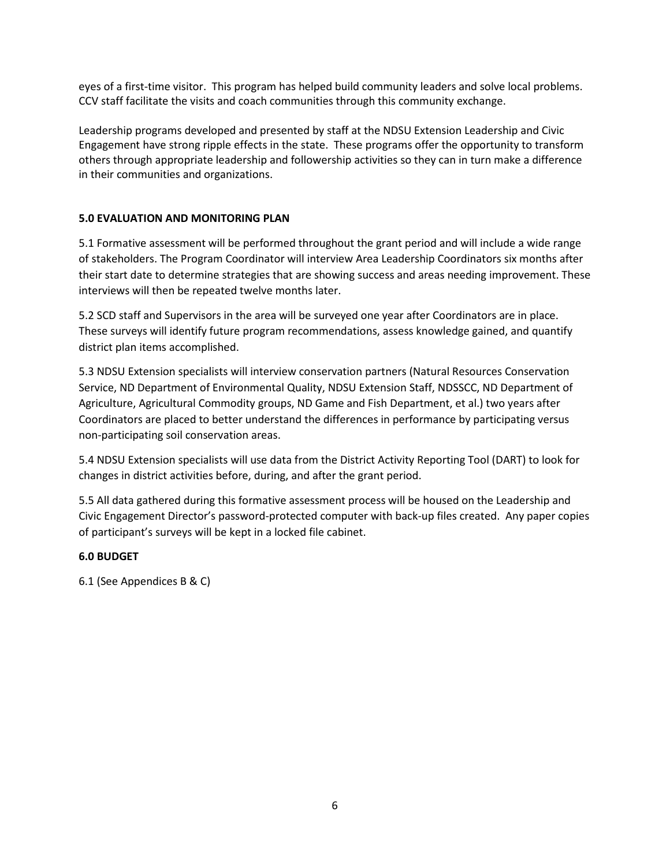eyes of a first-time visitor. This program has helped build community leaders and solve local problems. CCV staff facilitate the visits and coach communities through this community exchange.

Leadership programs developed and presented by staff at the NDSU Extension Leadership and Civic Engagement have strong ripple effects in the state. These programs offer the opportunity to transform others through appropriate leadership and followership activities so they can in turn make a difference in their communities and organizations.

## **5.0 EVALUATION AND MONITORING PLAN**

5.1 Formative assessment will be performed throughout the grant period and will include a wide range of stakeholders. The Program Coordinator will interview Area Leadership Coordinators six months after their start date to determine strategies that are showing success and areas needing improvement. These interviews will then be repeated twelve months later.

5.2 SCD staff and Supervisors in the area will be surveyed one year after Coordinators are in place. These surveys will identify future program recommendations, assess knowledge gained, and quantify district plan items accomplished.

5.3 NDSU Extension specialists will interview conservation partners (Natural Resources Conservation Service, ND Department of Environmental Quality, NDSU Extension Staff, NDSSCC, ND Department of Agriculture, Agricultural Commodity groups, ND Game and Fish Department, et al.) two years after Coordinators are placed to better understand the differences in performance by participating versus non-participating soil conservation areas.

5.4 NDSU Extension specialists will use data from the District Activity Reporting Tool (DART) to look for changes in district activities before, during, and after the grant period.

5.5 All data gathered during this formative assessment process will be housed on the Leadership and Civic Engagement Director's password-protected computer with back-up files created. Any paper copies of participant's surveys will be kept in a locked file cabinet.

## **6.0 BUDGET**

6.1 (See Appendices B & C)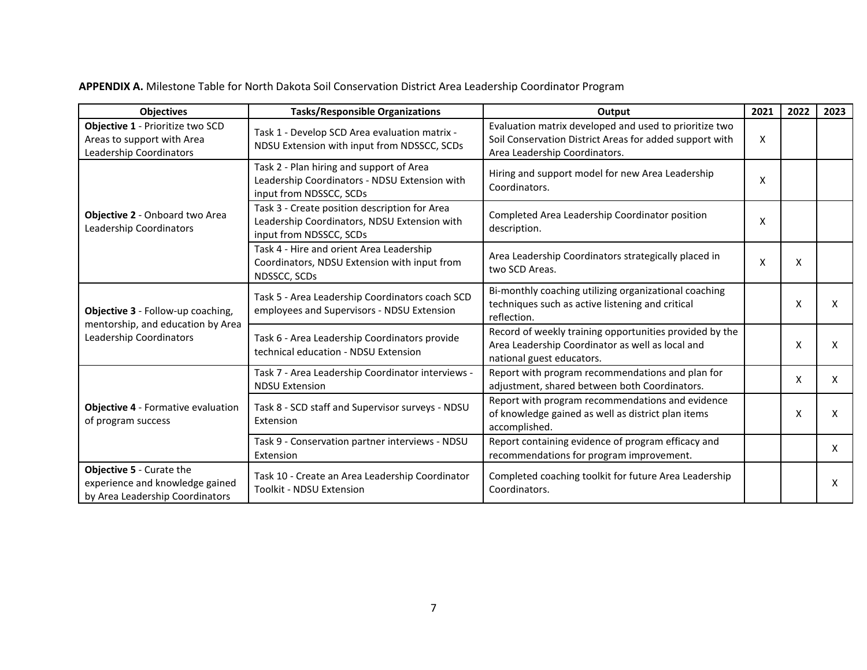**APPENDIX A.** Milestone Table for North Dakota Soil Conservation District Area Leadership Coordinator Program

| <b>Objectives</b>                                                                                     | <b>Tasks/Responsible Organizations</b>                                                                                   | Output                                                                                                                                             |   | 2022 | 2023 |
|-------------------------------------------------------------------------------------------------------|--------------------------------------------------------------------------------------------------------------------------|----------------------------------------------------------------------------------------------------------------------------------------------------|---|------|------|
| Objective 1 - Prioritize two SCD<br>Areas to support with Area<br>Leadership Coordinators             | Task 1 - Develop SCD Area evaluation matrix -<br>NDSU Extension with input from NDSSCC, SCDs                             | Evaluation matrix developed and used to prioritize two<br>Soil Conservation District Areas for added support with<br>Area Leadership Coordinators. | X |      |      |
| Objective 2 - Onboard two Area<br>Leadership Coordinators                                             | Task 2 - Plan hiring and support of Area<br>Leadership Coordinators - NDSU Extension with<br>input from NDSSCC, SCDs     | Hiring and support model for new Area Leadership<br>Coordinators.                                                                                  |   |      |      |
|                                                                                                       | Task 3 - Create position description for Area<br>Leadership Coordinators, NDSU Extension with<br>input from NDSSCC, SCDs | Completed Area Leadership Coordinator position<br>description.                                                                                     | X |      |      |
|                                                                                                       | Task 4 - Hire and orient Area Leadership<br>Coordinators, NDSU Extension with input from<br>NDSSCC, SCDs                 | Area Leadership Coordinators strategically placed in<br>two SCD Areas.                                                                             | X | X    |      |
| Objective 3 - Follow-up coaching,<br>mentorship, and education by Area<br>Leadership Coordinators     | Task 5 - Area Leadership Coordinators coach SCD<br>employees and Supervisors - NDSU Extension                            | Bi-monthly coaching utilizing organizational coaching<br>techniques such as active listening and critical<br>reflection.                           |   | X    | X    |
|                                                                                                       | Task 6 - Area Leadership Coordinators provide<br>technical education - NDSU Extension                                    | Record of weekly training opportunities provided by the<br>Area Leadership Coordinator as well as local and<br>national guest educators.           |   | X    | X    |
| Objective 4 - Formative evaluation<br>of program success                                              | Task 7 - Area Leadership Coordinator interviews -<br><b>NDSU Extension</b>                                               | Report with program recommendations and plan for<br>adjustment, shared between both Coordinators.                                                  |   | X    | X    |
|                                                                                                       | Task 8 - SCD staff and Supervisor surveys - NDSU<br>Extension                                                            | Report with program recommendations and evidence<br>of knowledge gained as well as district plan items<br>accomplished.                            |   | X    | x    |
|                                                                                                       | Task 9 - Conservation partner interviews - NDSU<br>Extension                                                             | Report containing evidence of program efficacy and<br>recommendations for program improvement.                                                     |   |      | X    |
| <b>Objective 5 - Curate the</b><br>experience and knowledge gained<br>by Area Leadership Coordinators | Task 10 - Create an Area Leadership Coordinator<br><b>Toolkit - NDSU Extension</b>                                       | Completed coaching toolkit for future Area Leadership<br>Coordinators.                                                                             |   |      | X    |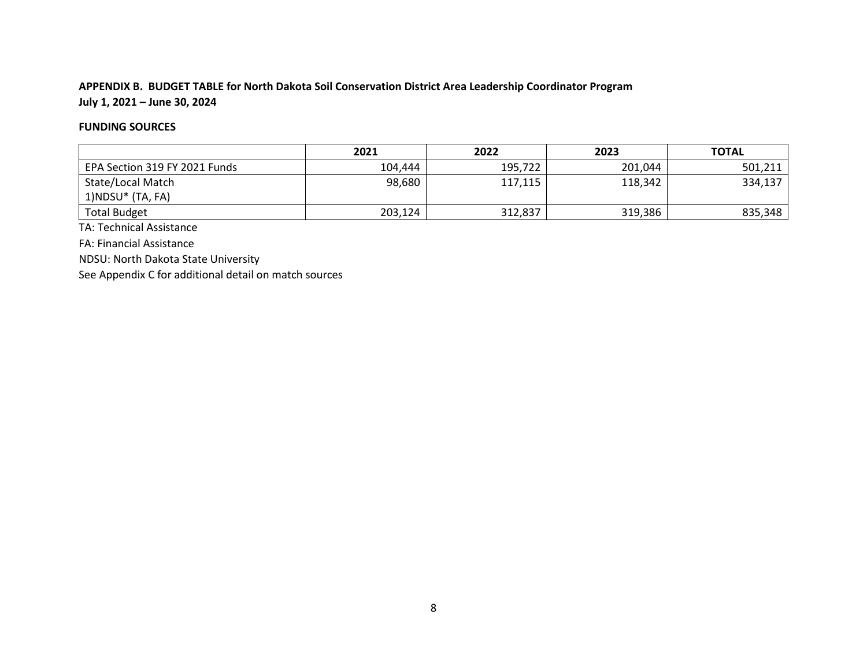## **APPENDIX B. BUDGET TABLE for North Dakota Soil Conservation District Area Leadership Coordinator Program July 1, 2021 – June 30, 2024**

## **FUNDING SOURCES**

|                               | 2021    | 2022    | 2023    | <b>TOTAL</b> |
|-------------------------------|---------|---------|---------|--------------|
| EPA Section 319 FY 2021 Funds | 104,444 | 195,722 | 201,044 | 501.211      |
| State/Local Match             | 98,680  | 117,115 | 118,342 | 334,137      |
| $1)NDSU*$ (TA, FA)            |         |         |         |              |
| <b>Total Budget</b>           | 203,124 | 312,837 | 319,386 | 835,348      |

TA: Technical Assistance

FA: Financial Assistance

NDSU: North Dakota State University

See Appendix C for additional detail on match sources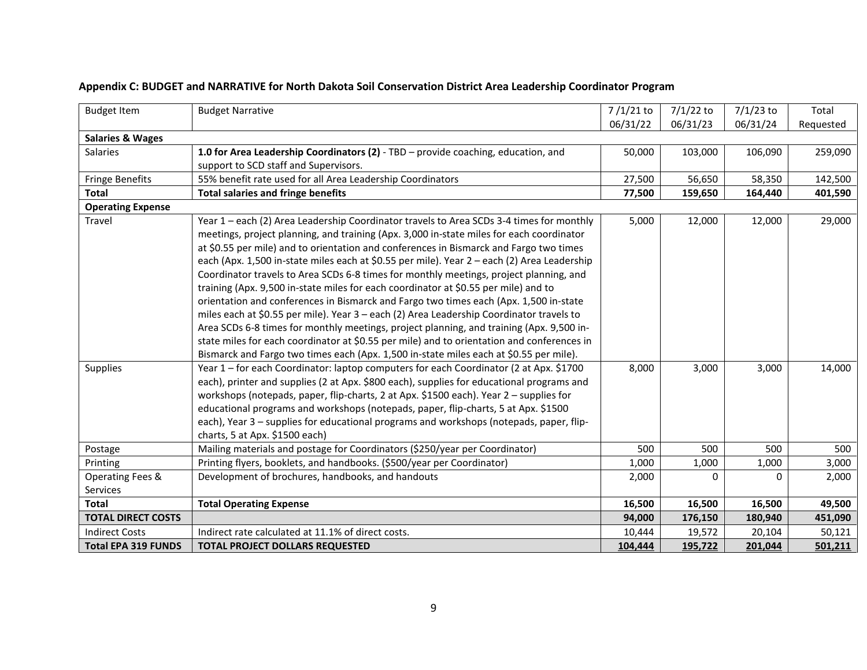| <b>Budget Item</b>          | <b>Budget Narrative</b>                                                                     | $7/1/21$ to | $7/1/22$ to | $7/1/23$ to | Total     |
|-----------------------------|---------------------------------------------------------------------------------------------|-------------|-------------|-------------|-----------|
|                             |                                                                                             | 06/31/22    | 06/31/23    | 06/31/24    | Requested |
| <b>Salaries &amp; Wages</b> |                                                                                             |             |             |             |           |
| Salaries                    | 1.0 for Area Leadership Coordinators (2) - TBD - provide coaching, education, and           | 50,000      | 103,000     | 106,090     | 259,090   |
|                             | support to SCD staff and Supervisors.                                                       |             |             |             |           |
| <b>Fringe Benefits</b>      | 55% benefit rate used for all Area Leadership Coordinators                                  | 27,500      | 56,650      | 58,350      | 142,500   |
| <b>Total</b>                | <b>Total salaries and fringe benefits</b>                                                   | 77,500      | 159,650     | 164,440     | 401,590   |
| <b>Operating Expense</b>    |                                                                                             |             |             |             |           |
| Travel                      | Year 1 - each (2) Area Leadership Coordinator travels to Area SCDs 3-4 times for monthly    | 5,000       | 12,000      | 12,000      | 29,000    |
|                             | meetings, project planning, and training (Apx. 3,000 in-state miles for each coordinator    |             |             |             |           |
|                             | at \$0.55 per mile) and to orientation and conferences in Bismarck and Fargo two times      |             |             |             |           |
|                             | each (Apx. 1,500 in-state miles each at \$0.55 per mile). Year 2 - each (2) Area Leadership |             |             |             |           |
|                             | Coordinator travels to Area SCDs 6-8 times for monthly meetings, project planning, and      |             |             |             |           |
|                             | training (Apx. 9,500 in-state miles for each coordinator at \$0.55 per mile) and to         |             |             |             |           |
|                             | orientation and conferences in Bismarck and Fargo two times each (Apx. 1,500 in-state       |             |             |             |           |
|                             | miles each at \$0.55 per mile). Year 3 - each (2) Area Leadership Coordinator travels to    |             |             |             |           |
|                             | Area SCDs 6-8 times for monthly meetings, project planning, and training (Apx. 9,500 in-    |             |             |             |           |
|                             | state miles for each coordinator at \$0.55 per mile) and to orientation and conferences in  |             |             |             |           |
|                             | Bismarck and Fargo two times each (Apx. 1,500 in-state miles each at \$0.55 per mile).      |             |             |             |           |
| <b>Supplies</b>             | Year 1 - for each Coordinator: laptop computers for each Coordinator (2 at Apx. \$1700      | 8,000       | 3,000       | 3,000       | 14,000    |
|                             | each), printer and supplies (2 at Apx. \$800 each), supplies for educational programs and   |             |             |             |           |
|                             | workshops (notepads, paper, flip-charts, 2 at Apx. \$1500 each). Year 2 - supplies for      |             |             |             |           |
|                             | educational programs and workshops (notepads, paper, flip-charts, 5 at Apx. \$1500          |             |             |             |           |
|                             | each), Year 3 - supplies for educational programs and workshops (notepads, paper, flip-     |             |             |             |           |
|                             | charts, 5 at Apx. \$1500 each)                                                              |             |             |             |           |
| Postage                     | Mailing materials and postage for Coordinators (\$250/year per Coordinator)                 | 500         | 500         | 500         | 500       |
| Printing                    | Printing flyers, booklets, and handbooks. (\$500/year per Coordinator)                      | 1,000       | 1,000       | 1,000       | 3,000     |
| Operating Fees &            | Development of brochures, handbooks, and handouts                                           | 2,000       | $\Omega$    | $\Omega$    | 2,000     |
| Services                    |                                                                                             |             |             |             |           |
| <b>Total</b>                | <b>Total Operating Expense</b>                                                              | 16,500      | 16,500      | 16,500      | 49,500    |
| <b>TOTAL DIRECT COSTS</b>   |                                                                                             | 94,000      | 176,150     | 180,940     | 451,090   |
| <b>Indirect Costs</b>       | Indirect rate calculated at 11.1% of direct costs.                                          | 10,444      | 19,572      | 20,104      | 50,121    |
| <b>Total EPA 319 FUNDS</b>  | <b>TOTAL PROJECT DOLLARS REQUESTED</b>                                                      | 104,444     | 195,722     | 201,044     | 501,211   |

## **Appendix C: BUDGET and NARRATIVE for North Dakota Soil Conservation District Area Leadership Coordinator Program**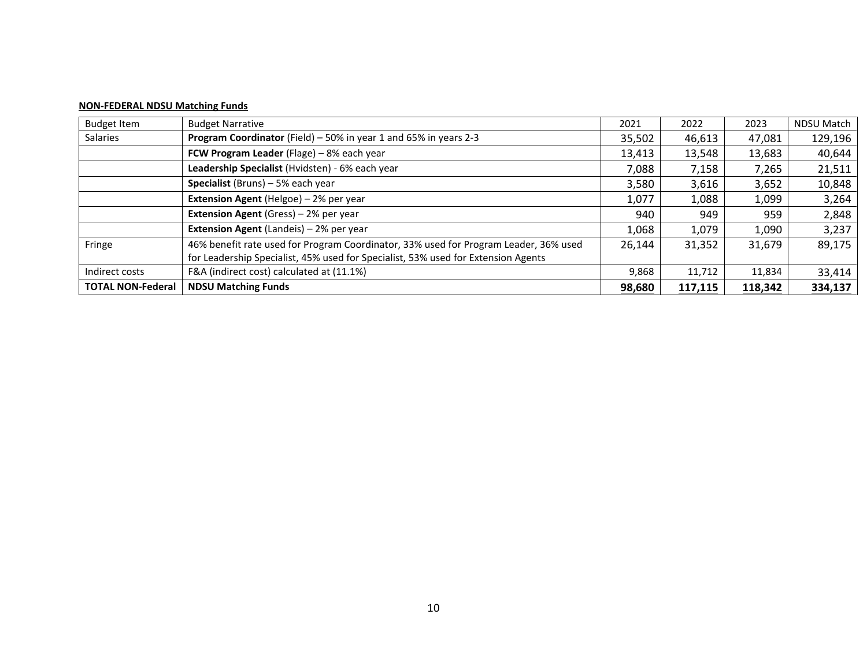## **NON-FEDERAL NDSU Matching Funds**

| <b>Budget Item</b>       | <b>Budget Narrative</b>                                                              | 2021   | 2022    | 2023    | <b>NDSU Match</b> |
|--------------------------|--------------------------------------------------------------------------------------|--------|---------|---------|-------------------|
| Salaries                 | Program Coordinator (Field) - 50% in year 1 and 65% in years 2-3                     | 35,502 | 46,613  | 47,081  | 129,196           |
|                          | FCW Program Leader (Flage) - 8% each year                                            | 13,413 | 13,548  | 13,683  | 40,644            |
|                          | Leadership Specialist (Hvidsten) - 6% each year                                      | 7,088  | 7,158   | 7,265   | 21,511            |
|                          | <b>Specialist</b> (Bruns) $-5%$ each year                                            | 3,580  | 3,616   | 3,652   | 10,848            |
|                          | Extension Agent (Helgoe) - 2% per year                                               | 1,077  | 1,088   | 1,099   | 3,264             |
|                          | <b>Extension Agent</b> (Gress) - 2% per year                                         | 940    | 949     | 959     | 2,848             |
|                          | <b>Extension Agent (Landeis) - 2% per year</b>                                       | 1,068  | 1,079   | 1,090   | 3,237             |
| Fringe                   | 46% benefit rate used for Program Coordinator, 33% used for Program Leader, 36% used | 26,144 | 31,352  | 31,679  | 89,175            |
|                          | for Leadership Specialist, 45% used for Specialist, 53% used for Extension Agents    |        |         |         |                   |
| Indirect costs           | F&A (indirect cost) calculated at (11.1%)                                            | 9,868  | 11,712  | 11,834  | 33,414            |
| <b>TOTAL NON-Federal</b> | <b>NDSU Matching Funds</b>                                                           | 98,680 | 117,115 | 118,342 | 334,137           |